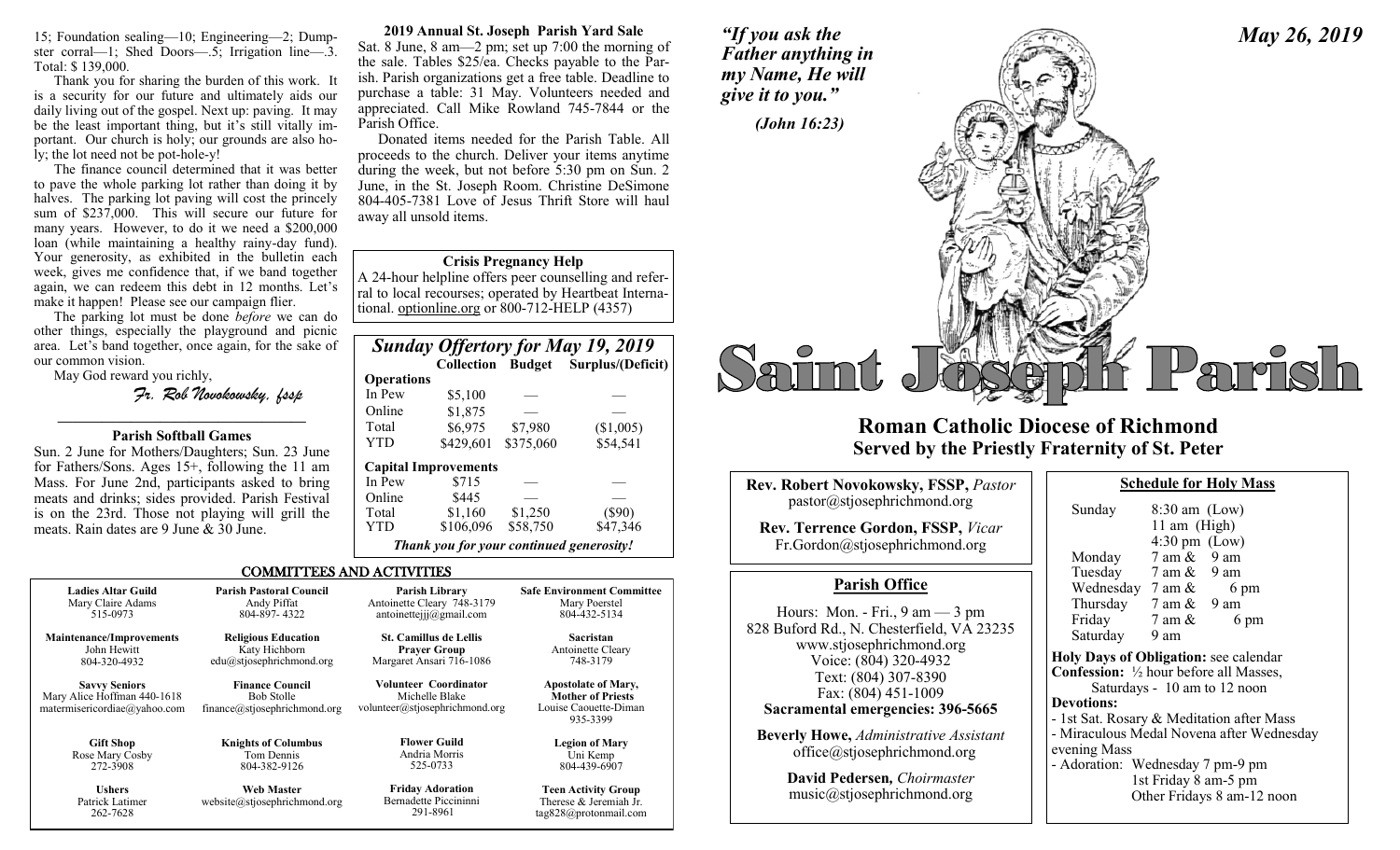15; Foundation sealing—10; Engineering—2; Dumpster corral—1; Shed Doors—.5; Irrigation line—.3. Total: \$ 139,000.

Thank you for sharing the burden of this work. It is a security for our future and ultimately aids our daily living out of the gospel. Next up: paving. It may be the least important thing, but it's still vitally important. Our church is holy; our grounds are also holy; the lot need not be pot-hole-y!

The finance council determined that it was better to pave the whole parking lot rather than doing it by halves. The parking lot paving will cost the princely sum of \$237,000. This will secure our future for many years. However, to do it we need a \$200,000 loan (while maintaining a healthy rainy-day fund). Your generosity, as exhibited in the bulletin each week, gives me confidence that, if we band together again, we can redeem this debt in 12 months. Let's make it happen! Please see our campaign flier.

The parking lot must be done *before* we can do other things, especially the playground and picnic area. Let's band together, once again, for the sake of our common vision.

May God reward you richly,

262-7628

*Fr. Rob Novokowsky, fssp* 

# **————————————————— Parish Softball Games**

Sun. 2 June for Mothers/Daughters; Sun. 23 June for Fathers/Sons. Ages 15+, following the 11 am Mass. For June 2nd, participants asked to bring meats and drinks; sides provided. Parish Festival is on the 23rd. Those not playing will grill the meats. Rain dates are 9 June & 30 June.

**2019 Annual St. Joseph Parish Yard Sale**

Sat. 8 June, 8 am—2 pm; set up 7:00 the morning of the sale. Tables \$25/ea. Checks payable to the Parish. Parish organizations get a free table. Deadline to purchase a table: 31 May. Volunteers needed and appreciated. Call Mike Rowland 745-7844 or the Parish Office.

Donated items needed for the Parish Table. All proceeds to the church. Deliver your items anytime during the week, but not before 5:30 pm on Sun. 2 June, in the St. Joseph Room. Christine DeSimone 804-405-7381 Love of Jesus Thrift Store will haul away all unsold items.

# **Crisis Pregnancy Help**

A 24-hour helpline offers peer counselling and referral to local recourses; operated by Heartbeat International. optionline.org or 800-712-HELP (4357)

| <b>Sunday Offertory for May 19, 2019</b> |                                          |           |                                     |  |
|------------------------------------------|------------------------------------------|-----------|-------------------------------------|--|
|                                          |                                          |           | Collection Budget Surplus/(Deficit) |  |
| <b>Operations</b>                        |                                          |           |                                     |  |
| In Pew                                   | \$5,100                                  |           |                                     |  |
| Online                                   | \$1,875                                  |           |                                     |  |
| Total                                    | \$6,975                                  | \$7,980   | (\$1,005)                           |  |
| YTD                                      | \$429,601                                | \$375,060 | \$54,541                            |  |
|                                          | <b>Capital Improvements</b>              |           |                                     |  |
| In Pew                                   | \$715                                    |           |                                     |  |
| Online                                   | \$445                                    |           |                                     |  |
| Total                                    | \$1,160                                  | \$1,250   | $(\$90)$                            |  |
| YTD                                      | \$106,096                                | \$58,750  | \$47,346                            |  |
|                                          | Thank you for your continued generosity! |           |                                     |  |

tag828@protonmail.com

# COMMITTEES AND ACTIVITIES

| <b>Ladies Altar Guild</b>                                                           | <b>Parish Pastoral Council</b>                                              | <b>Parish Library</b>                                                            | <b>Safe Environment Committee</b>                                                           |
|-------------------------------------------------------------------------------------|-----------------------------------------------------------------------------|----------------------------------------------------------------------------------|---------------------------------------------------------------------------------------------|
| Mary Claire Adams                                                                   | Andy Piffat                                                                 | Antoinette Cleary 748-3179                                                       | Mary Poerstel                                                                               |
| 515-0973                                                                            | 804-897-4322                                                                | antoinetteijj $@g$ mail.com                                                      | 804-432-5134                                                                                |
| <b>Maintenance/Improvements</b>                                                     | <b>Religious Education</b>                                                  | <b>St. Camillus de Lellis</b>                                                    | Sacristan                                                                                   |
| John Hewitt                                                                         | Katy Hichborn                                                               | <b>Prayer Group</b>                                                              | Antoinette Cleary                                                                           |
| 804-320-4932                                                                        | $edu(a)$ stjosephrichmond.org                                               | Margaret Ansari 716-1086                                                         | 748-3179                                                                                    |
| <b>Savvy Seniors</b><br>Mary Alice Hoffman 440-1618<br>matermisericordiae@yahoo.com | <b>Finance Council</b><br><b>Bob Stolle</b><br>finance@stjosephrichmond.org | <b>Volunteer Coordinator</b><br>Michelle Blake<br>volunteer@stjosephrichmond.org | <b>Apostolate of Mary,</b><br><b>Mother of Priests</b><br>Louise Caouette-Diman<br>935-3399 |
| <b>Gift Shop</b>                                                                    | <b>Knights of Columbus</b>                                                  | <b>Flower Guild</b>                                                              | <b>Legion of Mary</b>                                                                       |
| Rose Mary Cosby                                                                     | Tom Dennis                                                                  | Andria Morris                                                                    | Uni Kemp                                                                                    |
| 272-3908                                                                            | 804-382-9126                                                                | 525-0733                                                                         | 804-439-6907                                                                                |
| <b>Ushers</b><br>Patrick Latimer<br>262-7628                                        | <b>Web Master</b><br>website@stjosephrichmond.org                           | <b>Friday Adoration</b><br>Bernadette Piccininni<br>291-8961                     | <b>Teen Activity Group</b><br>Therese & Jeremiah Jr.<br>$tan 828$ $\omega$ nroton mail com  |

*"If you ask the Father anything in my Name, He will* 



# **Roman Catholic Diocese of Richmond Served by the Priestly Fraternity of St. Peter**

| <b>Rev. Robert Novokowsky, FSSP, Pastor</b>                                                                                                                                                                                             | Schedule                                                                                                                                                                                |
|-----------------------------------------------------------------------------------------------------------------------------------------------------------------------------------------------------------------------------------------|-----------------------------------------------------------------------------------------------------------------------------------------------------------------------------------------|
| pastor@stjosephrichmond.org<br><b>Rev. Terrence Gordon, FSSP, Vicar</b><br>Fr.Gordon@stjosephrichmond.org                                                                                                                               | 8:30:<br>Sunday<br>$11$ an<br>4:30 <sub>1</sub><br>Monday<br>7 am                                                                                                                       |
| <b>Parish Office</b>                                                                                                                                                                                                                    | Tuesday<br>7 am<br>Wednesday 7 am                                                                                                                                                       |
| Hours: Mon. - Fri., $9 \text{ am} - 3 \text{ pm}$<br>828 Buford Rd., N. Chesterfield, VA 23235<br>www.stjosephrichmond.org<br>Voice: (804) 320-4932<br>Text: (804) 307-8390<br>Fax: (804) 451-1009<br>Sacramental emergencies: 396-5665 | Thursday<br>7 am<br>Friday<br>7 am<br>Saturday<br>9 am<br><b>Holy Days of Obligat</b><br><b>Confession:</b> 1/2 hour b<br>Saturdays - 10<br><b>Devotions:</b><br>- 1st Sat. Rosary & Me |
| <b>Beverly Howe, Administrative Assistant</b><br>office@stjosephrichmond.org                                                                                                                                                            | - Miraculous Medal No<br>evening Mass                                                                                                                                                   |
| David Pedersen, Choirmaster<br>music@stjosephrichmond.org                                                                                                                                                                               | - Adoration: Wednesd<br>1st Frida<br>Other Fri                                                                                                                                          |

for Holy Mass

| Sunday                                                   | $8:30$ am (Low)                 |                                           |
|----------------------------------------------------------|---------------------------------|-------------------------------------------|
|                                                          | 11 am $(High)$                  |                                           |
|                                                          | $4:30 \text{ pm}$ (Low)         |                                           |
| Monday                                                   | $7 \text{ am } \& 9 \text{ am}$ |                                           |
| Tuesday                                                  | 7 am & 9 am                     |                                           |
| Wednesday $7 \text{ am } \&$                             |                                 | 6 pm                                      |
| Thursday $7 \text{ am } \& 9 \text{ am}$                 |                                 |                                           |
| Friday                                                   | 7 am &                          | 6 pm                                      |
| Saturday                                                 | 9 am                            |                                           |
| <b>Holy Days of Obligation:</b> see calendar             |                                 |                                           |
| <b>Confession:</b> $\frac{1}{2}$ hour before all Masses, |                                 |                                           |
|                                                          |                                 | Saturdays - 10 am to 12 noon              |
| <b>Devotions:</b>                                        |                                 |                                           |
| - 1st Sat. Rosary & Meditation after Mass                |                                 |                                           |
|                                                          |                                 | - Miraculous Medal Novena after Wednesday |
| evening Mass                                             |                                 |                                           |
| $\cdots$<br><b>TTT</b>                                   |                                 |                                           |

day 7 pm-9 pm  $ay 8$  am-5 pm idays 8 am-12 noon

*May 26, 2019*